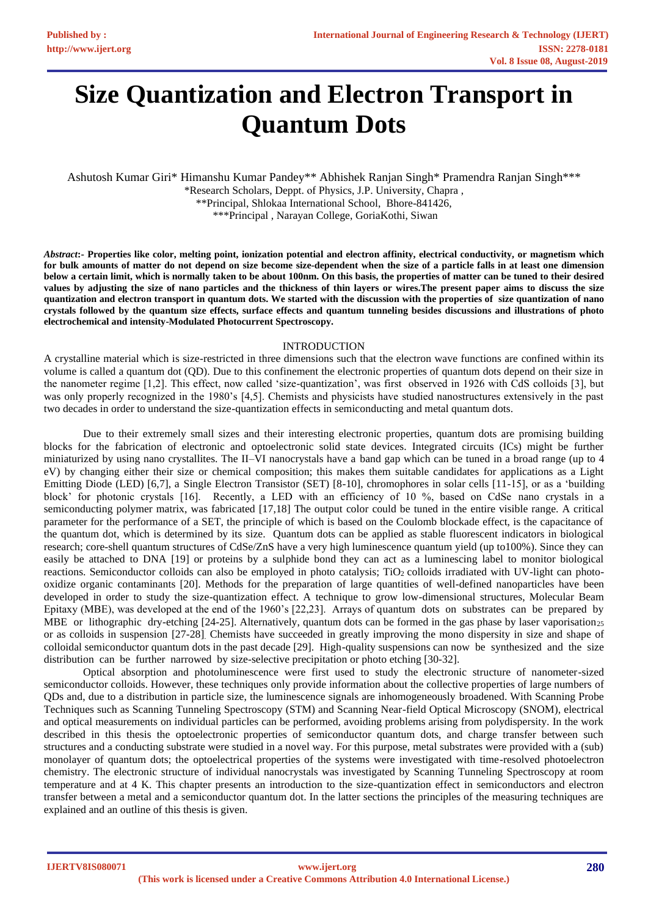# **Size Quantization and Electron Transport in Quantum Dots**

Ashutosh Kumar Giri\* Himanshu Kumar Pandey\*\* Abhishek Ranjan Singh\* Pramendra Ranjan Singh\*\*\*

\*Research Scholars, Deppt. of Physics, J.P. University, Chapra , \*\*Principal, Shlokaa International School, Bhore-841426, \*\*\*Principal , Narayan College, GoriaKothi, Siwan

Abstract:- Properties like color, melting point, ionization potential and electron affinity, electrical conductivity, or magnetism which for bulk amounts of matter do not depend on size become size-dependent when the size of a particle falls in at least one dimension **below a certain limit, which is normally taken to be about 100nm. On this basis, the properties of matter can be tuned to their desired**  values by adjusting the size of nano particles and the thickness of thin layers or wires. The present paper aims to discuss the size **quantization and electron transport in quantum dots. We started with the discussion with the properties of size quantization of nano**  crystals followed by the quantum size effects, surface effects and quantum tunneling besides discussions and illustrations of photo **electrochemical and intensity-Modulated Photocurrent Spectroscopy.** 

## **INTRODUCTION**

A crystalline material which is size-restricted in three dimensions such that the electron wave functions are confined within its volume is called a quantum dot (QD). Due to this confinement the electronic properties of quantum dots depend on their size in the nanometer regime [1,2]. This effect, now called 'size-quantization', was first observed in 1926 with CdS colloids [3], but was only properly recognized in the 1980's [4,5]. Chemists and physicists have studied nanostructures extensively in the past two decades in order to understand the size-quantization effects in semiconducting and metal quantum dots.

Due to their extremely small sizes and their interesting electronic properties, quantum dots are promising building blocks for the fabrication of electronic and optoelectronic solid state devices. Integrated circuits (ICs) might be further miniaturized by using nano crystallites. The II–VI nanocrystals have a band gap which can be tuned in a broad range (up to 4 eV) by changing either their size or chemical composition; this makes them suitable candidates for applications as a Light Emitting Diode (LED) [6,7], a Single Electron Transistor (SET) [8-10], chromophores in solar cells [11-15], or as a 'building block' for photonic crystals [16]. Recently, a LED with an efficiency of 10 %, based on CdSe nano crystals in a semiconducting polymer matrix, was fabricated [17,18] The output color could be tuned in the entire visible range. A critical parameter for the performance of a SET, the principle of which is based on the Coulomb blockade effect, is the capacitance of the quantum dot, which is determined by its size. Quantum dots can be applied as stable fluorescent indicators in biological research; core-shell quantum structures of CdSe/ZnS have a very high luminescence quantum yield (up to100%). Since they can easily be attached to DNA [19] or proteins by a sulphide bond they can act as a luminescing label to monitor biological reactions. Semiconductor colloids can also be employed in photo catalysis; TiO<sub>2</sub> colloids irradiated with UV-light can photooxidize organic contaminants [20]. Methods for the preparation of large quantities of well-defined nanoparticles have been developed in order to study the size-quantization effect. A technique to grow low-dimensional structures, Molecular Beam Epitaxy (MBE), was developed at the end of the 1960's [22,23]. Arrays of quantum dots on substrates can be prepared by MBE or lithographic dry-etching  $[24-25]$ . Alternatively, quantum dots can be formed in the gas phase by laser vaporisation<sub>25</sub> or as colloids in suspension [27-28]. Chemists have succeeded in greatly improving the mono dispersity in size and shape of colloidal semiconductor quantum dots in the past decade [29]. High-quality suspensions can now be synthesized and the size distribution can be further narrowed by size-selective precipitation or photo etching [30-32].

Optical absorption and photoluminescence were first used to study the electronic structure of nanometer-sized semiconductor colloids. However, these techniques only provide information about the collective properties of large numbers of QDs and, due to a distribution in particle size, the luminescence signals are inhomogeneously broadened. With Scanning Probe Techniques such as Scanning Tunneling Spectroscopy (STM) and Scanning Near-field Optical Microscopy (SNOM), electrical and optical measurements on individual particles can be performed, avoiding problems arising from polydispersity. In the work described in this thesis the optoelectronic properties of semiconductor quantum dots, and charge transfer between such structures and a conducting substrate were studied in a novel way. For this purpose, metal substrates were provided with a (sub) monolayer of quantum dots; the optoelectrical properties of the systems were investigated with time-resolved photoelectron chemistry. The electronic structure of individual nanocrystals was investigated by Scanning Tunneling Spectroscopy at room temperature and at 4 K. This chapter presents an introduction to the size-quantization effect in semiconductors and electron transfer between a metal and a semiconductor quantum dot. In the latter sections the principles of the measuring techniques are explained and an outline of this thesis is given.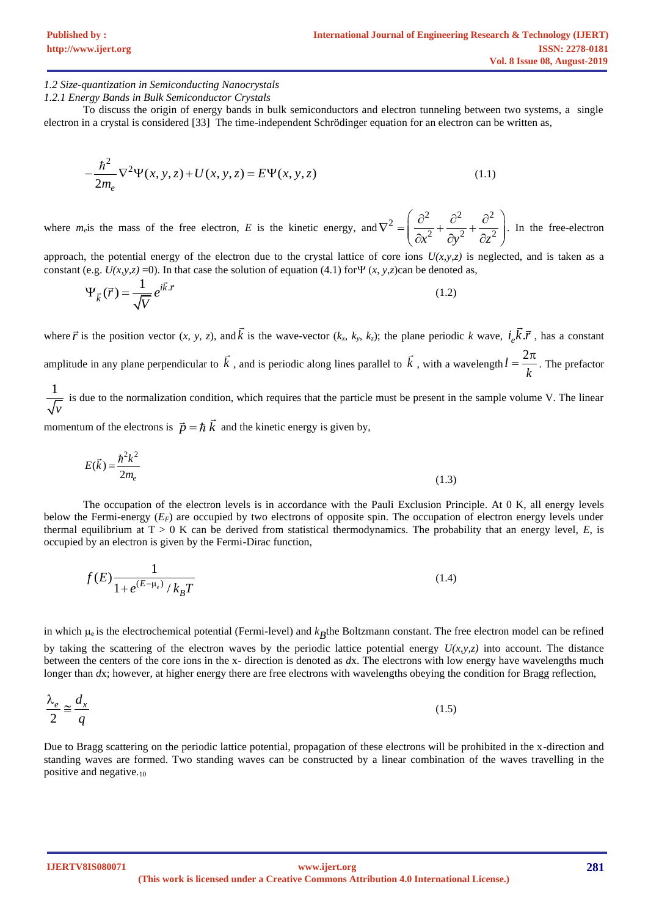### *1.2 Size-quantization in Semiconducting Nanocrystals*

*1.2.1 Energy Bands in Bulk Semiconductor Crystals*

To discuss the origin of energy bands in bulk semiconductors and electron tunneling between two systems, a single electron in a crystal is considered [33] The time-independent Schrödinger equation for an electron can be written as,

$$
-\frac{\hbar^2}{2m_e}\nabla^2\Psi(x, y, z) + U(x, y, z) = E\Psi(x, y, z)
$$
\n(1.1)

where  $m_e$  is the mass of the free electron,  $E$  is the kinetic energy, and  $\nabla^2 = \left(\frac{\partial^2}{\partial x^2} + \frac{\partial^2}{\partial y^2} + \frac{\partial^2}{\partial z^2}\right)$ . In . In the free-electron

approach, the potential energy of the electron due to the crystal lattice of core ions  $U(x, y, z)$  is neglected, and is taken as a constant (e.g.  $U(x, y, z) = 0$ ). In that case the solution of equation (4.1) for  $\Psi(x, y, z)$ can be denoted as,

$$
\Psi_{\vec{k}}(\vec{r}) = \frac{1}{\sqrt{V}} e^{i\vec{k}.\vec{r}}
$$
\n(1.2)

where  $\vec{r}$  is the position vector  $(x, y, z)$ , and k is the wave-vector  $(k_x, k_y, k_z)$ ; the plane periodic k wave,  $i_e \vec{k} \cdot \vec{r}$ , has a constant amplitude in any plane perpendicular to  $\vec{k}$ , and is periodic along lines parallel to  $\vec{k}$ , with a wavelength  $l = \frac{2}{\sqrt{2}}$ *k*  $=\frac{2\pi}{\pi}$ . The prefactor

1 *v* is due to the normalization condition, which requires that the particle must be present in the sample volume V. The linear

momentum of the electrons is  $\vec{p} = \hbar \vec{k}$  and the kinetic energy is given by,

$$
E(\vec{k}) = \frac{\hbar^2 k^2}{2m_e}
$$
 (1.3)

The occupation of the electron levels is in accordance with the Pauli Exclusion Principle. At 0 K, all energy levels below the Fermi-energy ( $E_F$ ) are occupied by two electrons of opposite spin. The occupation of electron energy levels under thermal equilibrium at  $T > 0$  K can be derived from statistical thermodynamics. The probability that an energy level,  $E$ , is occupied by an electron is given by the Fermi-Dirac function,

$$
f(E)\frac{1}{1 + e^{(E - \mu_e)}/k_B T}
$$
\n(1.4)

in which  $\mu_e$  is the electrochemical potential (Fermi-level) and  $k_B$ the Boltzmann constant. The free electron model can be refined by taking the scattering of the electron waves by the periodic lattice potential energy  $U(x,y,z)$  into account. The distance between the centers of the core ions in the x- direction is denoted as *d*x. The electrons with low energy have wavelengths much longer than *dx*; however, at higher energy there are free electrons with wavelengths obeying the condition for Bragg reflection,

$$
\frac{\lambda_e}{2} \approx \frac{d_x}{q} \tag{1.5}
$$

Due to Bragg scattering on the periodic lattice potential, propagation of these electrons will be prohibited in the x-direction and standing waves are formed. Two standing waves can be constructed by a linear combination of the waves travelling in the positive and negative.<sup>10</sup>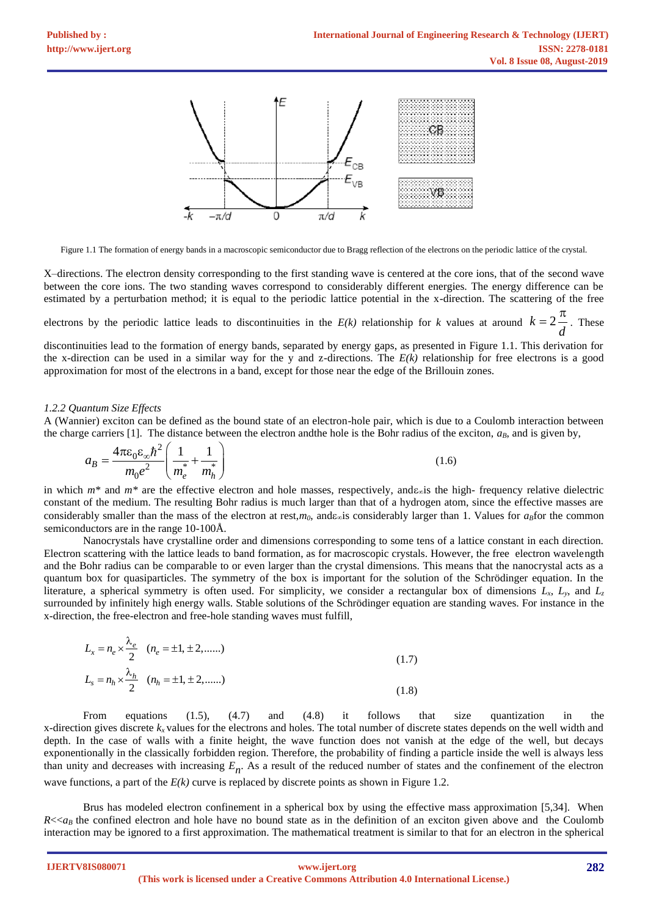

Figure 1.1 The formation of energy bands in a macroscopic semiconductor due to Bragg reflection of the electrons on the periodic lattice of the crystal.

X–directions. The electron density corresponding to the first standing wave is centered at the core ions, that of the second wave between the core ions. The two standing waves correspond to considerably different energies. The energy difference can be estimated by a perturbation method; it is equal to the periodic lattice potential in the x-direction. The scattering of the free

electrons by the periodic lattice leads to discontinuities in the  $E(k)$  relationship for k values at around  $k = 2$ *d*  $=2\frac{\pi}{4}$ . These

discontinuities lead to the formation of energy bands, separated by energy gaps, as presented in Figure 1.1. This derivation for the x-direction can be used in a similar way for the y and z-directions. The  $E(k)$  relationship for free electrons is a good approximation for most of the electrons in a band, except for those near the edge of the Brillouin zones.

#### *1.2.2 Quantum Size Effects*

A (Wannier) exciton can be defined as the bound state of an electron-hole pair, which is due to a Coulomb interaction between

the charge carriers [1]. The distance between the electron and the hole is the Bohr radius of the exciton, 
$$
a_B
$$
, and is given by,  
\n
$$
a_B = \frac{4\pi\varepsilon_0\varepsilon_\infty\hbar^2}{m_0e^2} \left(\frac{1}{m_e^*} + \frac{1}{m_h^*}\right)
$$
\n(1.6)

in which  $m^*$  and  $m^*$  are the effective electron and hole masses, respectively, and  $\epsilon_{\text{abs}}$  is the high- frequency relative dielectric constant of the medium. The resulting Bohr radius is much larger than that of a hydrogen atom, since the effective masses are considerably smaller than the mass of the electron at rest,*m*<sub>0</sub>, and  $\epsilon_{\infty}$  is considerably larger than 1. Values for  $a_B$  for the common semiconductors are in the range 10-100Å.

Nanocrystals have crystalline order and dimensions corresponding to some tens of a lattice constant in each direction. Electron scattering with the lattice leads to band formation, as for macroscopic crystals. However, the free electron wavelength and the Bohr radius can be comparable to or even larger than the crystal dimensions. This means that the nanocrystal acts as a quantum box for quasiparticles. The symmetry of the box is important for the solution of the Schrödinger equation. In the literature, a spherical symmetry is often used. For simplicity, we consider a rectangular box of dimensions  $L_x$ ,  $L_y$ , and  $L_z$ surrounded by infinitely high energy walls. Stable solutions of the Schrödinger equation are standing waves. For instance in the x-direction, the free-electron and free-hole standing waves must fulfill,

$$
L_x = n_e \times \frac{\lambda_e}{2} \quad (n_e = \pm 1, \pm 2, \dots \dots) \nL_s = n_h \times \frac{\lambda_h}{2} \quad (n_h = \pm 1, \pm 2, \dots \dots)
$$
\n(1.8)

From equations (1.5), (4.7) and (4.8) it follows that size quantization in the x-direction gives discrete  $k_x$  values for the electrons and holes. The total number of discrete states depends on the well width and depth. In the case of walls with a finite height, the wave function does not vanish at the edge of the well, but decays exponentionally in the classically forbidden region. Therefore, the probability of finding a particle inside the well is always less than unity and decreases with increasing *En* . As a result of the reduced number of states and the confinement of the electron wave functions, a part of the  $E(k)$  curve is replaced by discrete points as shown in Figure 1.2.

Brus has modeled electron confinement in a spherical box by using the effective mass approximation [5,34]. When  $R \ll a_B$  the confined electron and hole have no bound state as in the definition of an exciton given above and the Coulomb interaction may be ignored to a first approximation. The mathematical treatment is similar to that for an electron in the spherical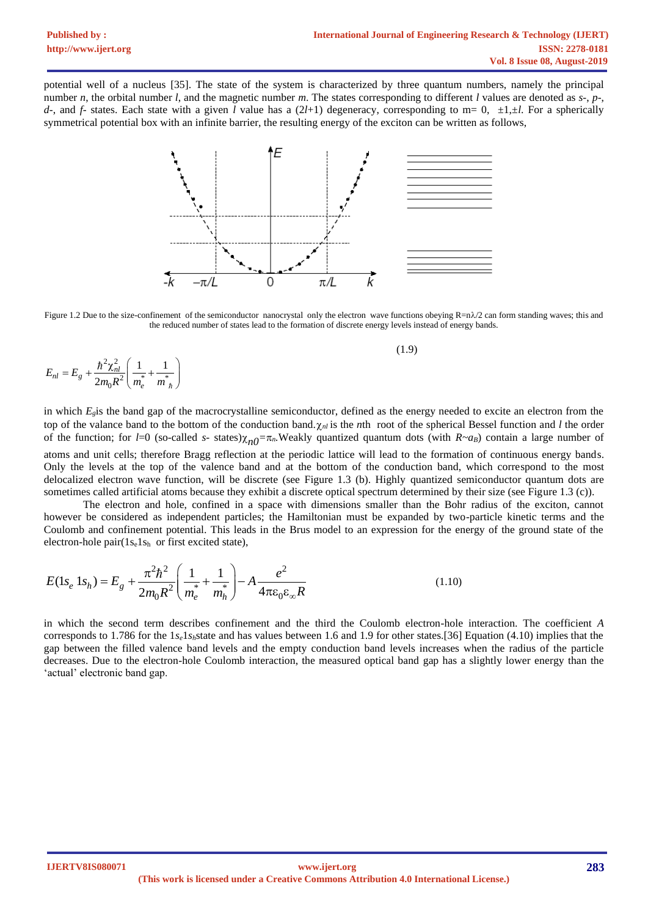potential well of a nucleus [35]. The state of the system is characterized by three quantum numbers, namely the principal number *n*, the orbital number *l*, and the magnetic number *m*. The states corresponding to different *l* values are denoted as *s*-, *p*-, *d*-, and *f*- states. Each state with a given *l* value has a (2*l*+1) degeneracy, corresponding to m= 0, ±1,±*l*. For a spherically symmetrical potential box with an infinite barrier, the resulting energy of the exciton can be written as follows,



Figure 1.2 Due to the size-confinement of the semiconductor nanocrystal only the electron wave functions obeying  $\mathbb{R} = n\lambda/2$  can form standing waves; this and the reduced number of states lead to the formation of discrete energy levels instead of energy bands.

(1.9)

$$
E_{nl} = E_g + \frac{\hbar^2 \chi_{nl}^2}{2m_0 R^2} \left( \frac{1}{m_e^*} + \frac{1}{m_n^*} \right)
$$

in which  $E<sub>g</sub>$  is the band gap of the macrocrystalline semiconductor, defined as the energy needed to excite an electron from the top of the valance band to the bottom of the conduction band. $\gamma_{nl}$  is the *n*th root of the spherical Bessel function and *l* the order of the function; for *l*=0 (so-called *s*- states) $\chi_{n0} = \pi_n$ . Weakly quantized quantum dots (with *R~a<sub>B</sub>*) contain a large number of atoms and unit cells; therefore Bragg reflection at the periodic lattice will lead to the formation of continuous energy bands. Only the levels at the top of the valence band and at the bottom of the conduction band, which correspond to the most delocalized electron wave function, will be discrete (see Figure 1.3 (b). Highly quantized semiconductor quantum dots are sometimes called artificial atoms because they exhibit a discrete optical spectrum determined by their size (see Figure 1.3 (c)).

The electron and hole, confined in a space with dimensions smaller than the Bohr radius of the exciton, cannot however be considered as independent particles; the Hamiltonian must be expanded by two-particle kinetic terms and the Coulomb and confinement potential. This leads in the Brus model to an expression for the energy of the ground state of the

electron-hole pair
$$
(1s_e 1s_h)
$$
 or first excited state),  
\n
$$
E(1s_e 1s_h) = E_g + \frac{\pi^2 h^2}{2m_0 R^2} \left( \frac{1}{m_e^*} + \frac{1}{m_h^*} \right) - A \frac{e^2}{4\pi \epsilon_0 \epsilon_\infty R}
$$
\n(1.10)

in which the second term describes confinement and the third the Coulomb electron-hole interaction. The coefficient *A*  corresponds to 1.786 for the  $1s_e1s_h$ state and has values between 1.6 and 1.9 for other states.[36] Equation (4.10) implies that the gap between the filled valence band levels and the empty conduction band levels increases when the radius of the particle decreases. Due to the electron-hole Coulomb interaction, the measured optical band gap has a slightly lower energy than the 'actual' electronic band gap.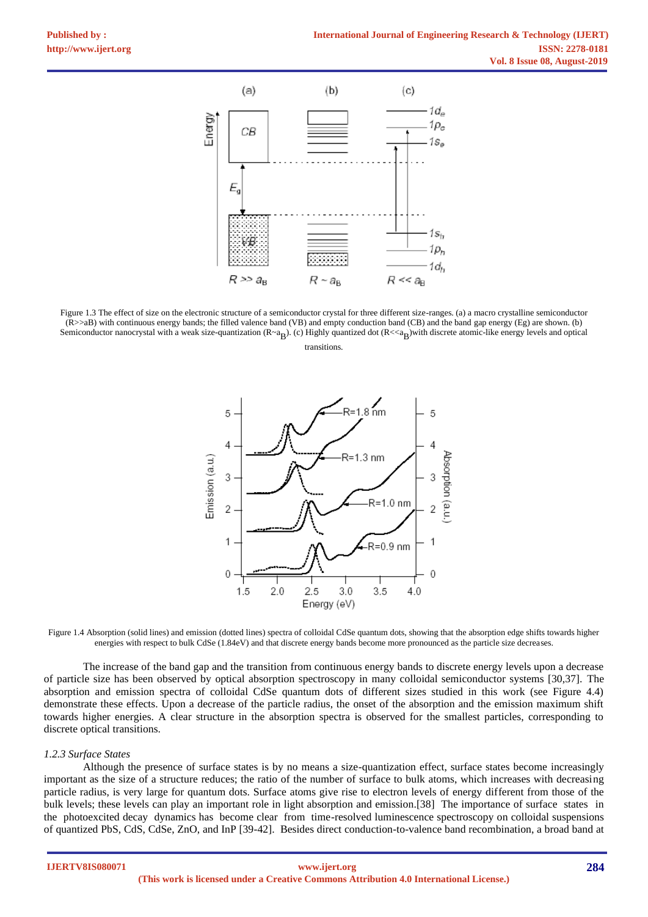

Figure 1.3 The effect of size on the electronic structure of a semiconductor crystal for three different size-ranges. (a) a macro crystalline semiconductor (R>>aB) with continuous energy bands; the filled valence band (VB) and empty conduction band (CB) and the band gap energy (Eg) are shown. (b) Semiconductor nanocrystal with a weak size-quantization  $(R \prec a_B)$ . (c) Highly quantized dot  $(R << a_B)$ with discrete atomic-like energy levels and optical

transitions.



Figure 1.4 Absorption (solid lines) and emission (dotted lines) spectra of colloidal CdSe quantum dots, showing that the absorption edge shifts towards higher energies with respect to bulk CdSe (1.84eV) and that discrete energy bands become more pronounced as the particle size decreases.

The increase of the band gap and the transition from continuous energy bands to discrete energy levels upon a decrease of particle size has been observed by optical absorption spectroscopy in many colloidal semiconductor systems [30,37]. The absorption and emission spectra of colloidal CdSe quantum dots of different sizes studied in this work (see Figure 4.4) demonstrate these effects. Upon a decrease of the particle radius, the onset of the absorption and the emission maximum shift towards higher energies. A clear structure in the absorption spectra is observed for the smallest particles, corresponding to discrete optical transitions.

#### *1.2.3 Surface States*

Although the presence of surface states is by no means a size-quantization effect, surface states become increasingly important as the size of a structure reduces; the ratio of the number of surface to bulk atoms, which increases with decreasing particle radius, is very large for quantum dots. Surface atoms give rise to electron levels of energy different from those of the bulk levels; these levels can play an important role in light absorption and emission.[38] The importance of surface states in the photoexcited decay dynamics has become clear from time-resolved luminescence spectroscopy on colloidal suspensions of quantized PbS, CdS, CdSe, ZnO, and InP [39-42]. Besides direct conduction-to-valence band recombination, a broad band at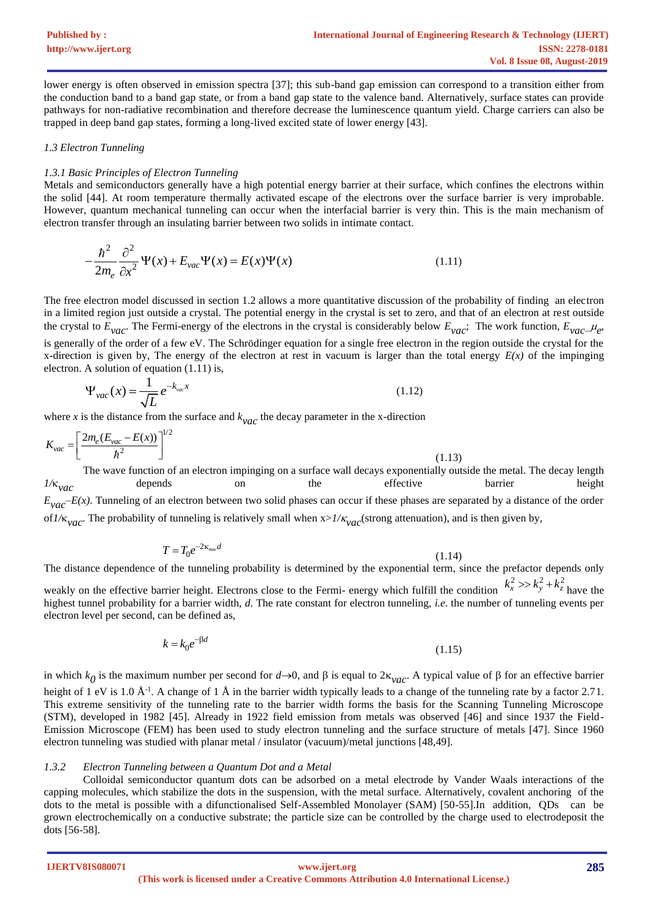lower energy is often observed in emission spectra [37]; this sub-band gap emission can correspond to a transition either from the conduction band to a band gap state, or from a band gap state to the valence band. Alternatively, surface states can provide pathways for non-radiative recombination and therefore decrease the luminescence quantum yield. Charge carriers can also be trapped in deep band gap states, forming a long-lived excited state of lower energy [43].

## *1.3 Electron Tunneling*

## *1.3.1 Basic Principles of Electron Tunneling*

Metals and semiconductors generally have a high potential energy barrier at their surface, which confines the electrons within the solid [44]. At room temperature thermally activated escape of the electrons over the surface barrier is very improbable. However, quantum mechanical tunneling can occur when the interfacial barrier is very thin. This is the main mechanism of electron transfer through an insulating barrier between two solids in intimate contact.

$$
-\frac{\hbar^2}{2m_e} \frac{\partial^2}{\partial x^2} \Psi(x) + E_{vac} \Psi(x) = E(x) \Psi(x)
$$
\n(1.11)

The free electron model discussed in section 1.2 allows a more quantitative discussion of the probability of finding an electron in a limited region just outside a crystal. The potential energy in the crystal is set to zero, and that of an electron at rest outside the crystal to  $E_{\text{vac}}$ . The Fermi-energy of the electrons in the crystal is considerably below  $E_{\text{vac}}$ ; The work function,  $E_{\text{vac}}$ ,  $\mu_e$ , is generally of the order of a few eV. The Schrödinger equation for a single free electron in the region outside the crystal for the x-direction is given by, The energy of the electron at rest in vacuum is larger than the total energy  $E(x)$  of the impinging electron. A solution of equation (1.11) is,

$$
\Psi_{\text{vac}}(x) = \frac{1}{\sqrt{L}} e^{-k_{\text{vac}}x}
$$
\n(1.12)

where  $x$  is the distance from the surface and  $k_{\text{vac}}$  the decay parameter in the x-direction

$$
K_{\text{vac}} = \left[\frac{2m_e(E_{\text{vac}} - E(x))}{\hbar^2}\right]^{1/2}
$$
\nThe wave function of an electron impigrian on a surface well decays exponentially outside the metal. The decay length is

The wave function of an electron impinging on a surface wall decays exponentially outside the metal. The decay length *1/x*<sub>*vac*</sub> depends on the effective barrier height  $E_{vac}$ –*E(x)*. Tunneling of an electron between two solid phases can occur if these phases are separated by a distance of the order of  $1/\kappa_{vac}$ . The probability of tunneling is relatively small when  $x > 1/\kappa_{vac}$  (strong attenuation), and is then given by,

$$
T = T_0 e^{-2\kappa_{\text{max}}d}
$$
\n<sup>(1.14)</sup>

The distance dependence of the tunneling probability is determined by the exponential term, since the prefactor depends only weakly on the effective barrier height. Electrons close to the Fermi- energy which fulfill the condition  $h_x \sim h_y + h_z$  have the highest tunnel probability for a barrier width, *d*. The rate constant for electron tunneling, *i.e*. the number of tunneling events per electron level per second, can be defined as,  $k_x^2 >> k_y^2 + k_z^2$ 

$$
k = k_0 e^{-\beta d} \tag{1.15}
$$

in which  $k_0$  is the maximum number per second for  $d\rightarrow 0$ , and  $\beta$  is equal to  $2\kappa_{vac}$ . A typical value of  $\beta$  for an effective barrier height of 1 eV is 1.0  $\AA$ <sup>-1</sup>. A change of 1  $\AA$  in the barrier width typically leads to a change of the tunneling rate by a factor 2.71. This extreme sensitivity of the tunneling rate to the barrier width forms the basis for the Scanning Tunneling Microscope (STM), developed in 1982 [45]. Already in 1922 field emission from metals was observed [46] and since 1937 the Field-Emission Microscope (FEM) has been used to study electron tunneling and the surface structure of metals [47]. Since 1960 electron tunneling was studied with planar metal / insulator (vacuum)/metal junctions [48,49].

## *1.3.2 Electron Tunneling between a Quantum Dot and a Metal*

Colloidal semiconductor quantum dots can be adsorbed on a metal electrode by Vander Waals interactions of the capping molecules, which stabilize the dots in the suspension, with the metal surface. Alternatively, covalent anchoring of the dots to the metal is possible with a difunctionalised Self-Assembled Monolayer (SAM) [50-55].In addition, QDs can be grown electrochemically on a conductive substrate; the particle size can be controlled by the charge used to electrodeposit the dots [56-58].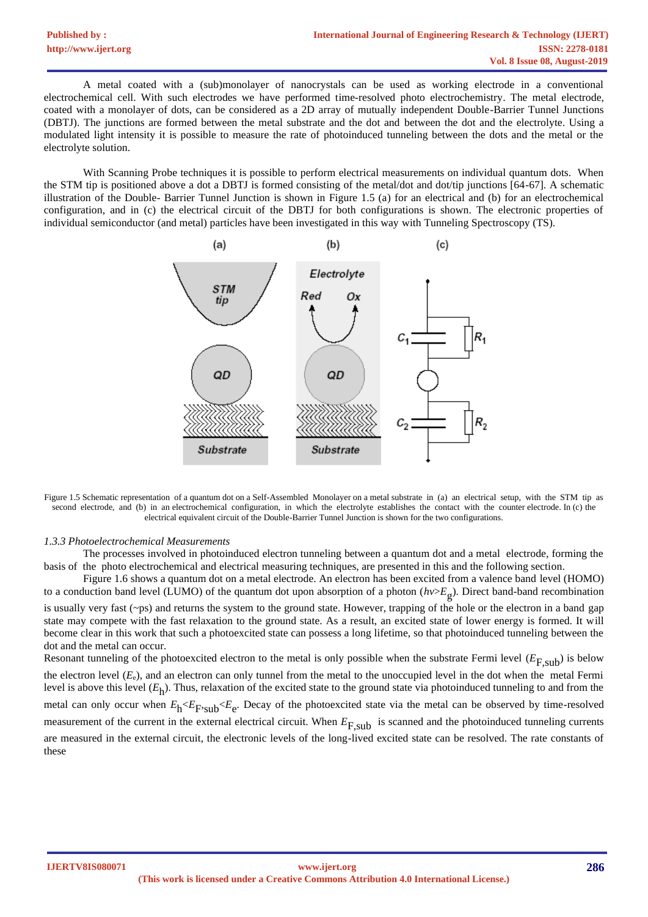A metal coated with a (sub)monolayer of nanocrystals can be used as working electrode in a conventional electrochemical cell. With such electrodes we have performed time-resolved photo electrochemistry. The metal electrode, coated with a monolayer of dots, can be considered as a 2D array of mutually independent Double-Barrier Tunnel Junctions (DBTJ). The junctions are formed between the metal substrate and the dot and between the dot and the electrolyte. Using a modulated light intensity it is possible to measure the rate of photoinduced tunneling between the dots and the metal or the electrolyte solution.

With Scanning Probe techniques it is possible to perform electrical measurements on individual quantum dots. When the STM tip is positioned above a dot a DBTJ is formed consisting of the metal/dot and dot/tip junctions [64-67]. A schematic illustration of the Double- Barrier Tunnel Junction is shown in Figure 1.5 (a) for an electrical and (b) for an electrochemical configuration, and in (c) the electrical circuit of the DBTJ for both configurations is shown. The electronic properties of individual semiconductor (and metal) particles have been investigated in this way with Tunneling Spectroscopy (TS).



Figure 1.5 Schematic representation of a quantum dot on a Self-Assembled Monolayer on a metal substrate in (a) an electrical setup, with the STM tip as second electrode, and (b) in an electrochemical configuration, in which the electrolyte establishes the contact with the counter electrode. In (c) the electrical equivalent circuit of the Double-Barrier Tunnel Junction is shown for the two configurations.

#### *1.3.3 Photoelectrochemical Measurements*

The processes involved in photoinduced electron tunneling between a quantum dot and a metal electrode, forming the basis of the photo electrochemical and electrical measuring techniques, are presented in this and the following section.

Figure 1.6 shows a quantum dot on a metal electrode. An electron has been excited from a valence band level (HOMO) to a conduction band level (LUMO) of the quantum dot upon absorption of a photon (*hv*>*E*g ). Direct band-band recombination is usually very fast  $(\sim_{\text{ps}})$  and returns the system to the ground state. However, trapping of the hole or the electron in a band gap state may compete with the fast relaxation to the ground state. As a result, an excited state of lower energy is formed. It will become clear in this work that such a photoexcited state can possess a long lifetime, so that photoinduced tunneling between the dot and the metal can occur. Resonant tunneling of the photoexcited electron to the metal is only possible when the substrate Fermi level  $(E_{F,sub})$  is below

the electron level (*E*e), and an electron can only tunnel from the metal to the unoccupied level in the dot when the metal Fermi level is above this level (*E*h ). Thus, relaxation of the excited state to the ground state via photoinduced tunneling to and from the metal can only occur when  $E_h < E_F$ , sub $\leq E_e$ . Decay of the photoexcited state via the metal can be observed by time-resolved measurement of the current in the external electrical circuit. When  $E_{\text{F,sub}}$  is scanned and the photoinduced tunneling currents are measured in the external circuit, the electronic levels of the long-lived excited state can be resolved. The rate constants of these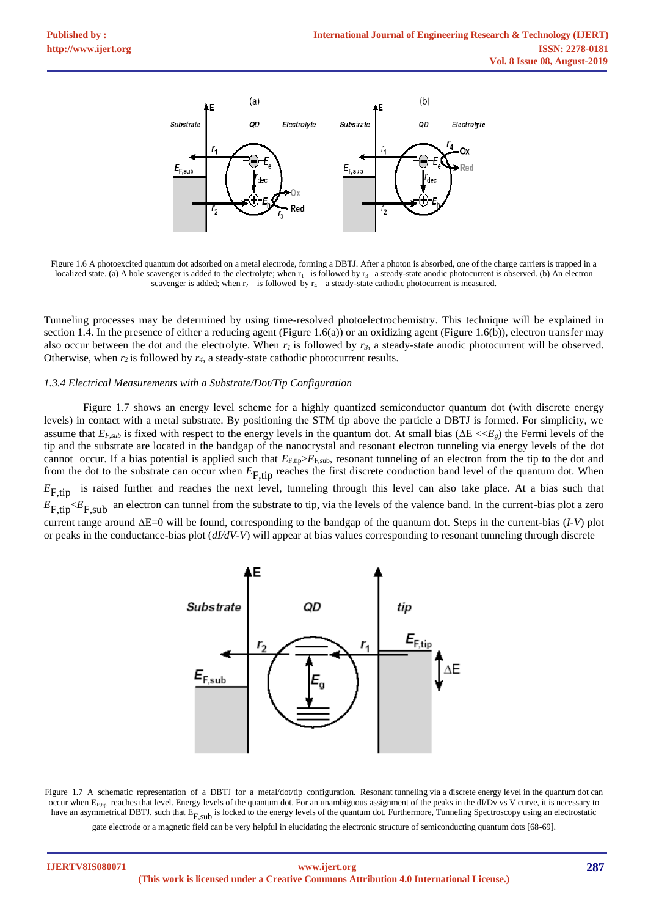

Figure 1.6 A photoexcited quantum dot adsorbed on a metal electrode, forming a DBTJ. After a photon is absorbed, one of the charge carriers is trapped in a localized state. (a) A hole scavenger is added to the electrolyte; when  $r_1$  is followed by  $r_3$  a steady-state anodic photocurrent is observed. (b) An electron scavenger is added; when  $r_2$  is followed by  $r_4$  a steady-state cathodic photocurrent is measured.

Tunneling processes may be determined by using time-resolved photoelectrochemistry. This technique will be explained in section 1.4. In the presence of either a reducing agent (Figure 1.6(a)) or an oxidizing agent (Figure 1.6(b)), electron transfer may also occur between the dot and the electrolyte. When  $r_i$  is followed by  $r_3$ , a steady-state anodic photocurrent will be observed. Otherwise, when *r<sup>2</sup>* is followed by *r4*, a steady-state cathodic photocurrent results.

#### *1.3.4 Electrical Measurements with a Substrate/Dot/Tip Configuration*

Figure 1.7 shows an energy level scheme for a highly quantized semiconductor quantum dot (with discrete energy levels) in contact with a metal substrate. By positioning the STM tip above the particle a DBTJ is formed. For simplicity, we assume that  $E_{F,sub}$  is fixed with respect to the energy levels in the quantum dot. At small bias ( $\Delta E \ll E_g$ ) the Fermi levels of the tip and the substrate are located in the bandgap of the nanocrystal and resonant electron tunneling via energy levels of the dot cannot occur. If a bias potential is applied such that  $E_{F,tip} > E_{F,sub}$ , resonant tunneling of an electron from the tip to the dot and from the dot to the substrate can occur when  $E$ <sub>F,tip</sub> reaches the first discrete conduction band level of the quantum dot. When  $E_{\text{F,tip}}$  is raised further and reaches the next level, tunneling through this level can also take place. At a bias such that  $E_{F,tip} E_{F,sub}$  an electron can tunnel from the substrate to tip, via the levels of the valence band. In the current-bias plot a zero current range around  $\Delta E=0$  will be found, corresponding to the bandgap of the quantum dot. Steps in the current-bias (*I-V*) plot or peaks in the conductance-bias plot (*dI/dV-V*) will appear at bias values corresponding to resonant tunneling through discrete



Figure 1.7 A schematic representation of a DBTJ for a metal/dot/tip configuration. Resonant tunneling via a discrete energy level in the quantum dot can occur when  $E_{F,tip}$  reaches that level. Energy levels of the quantum dot. For an unambiguous assignment of the peaks in the dI/Dv vs V curve, it is necessary to have an asymmetrical DBTJ, such that  $E_{F,sub}$  is locked to the energy levels of the quantum dot. Furthermore, Tunneling Spectroscopy using an electrostatic

gate electrode or a magnetic field can be very helpful in elucidating the electronic structure of semiconducting quantum dots [68-69].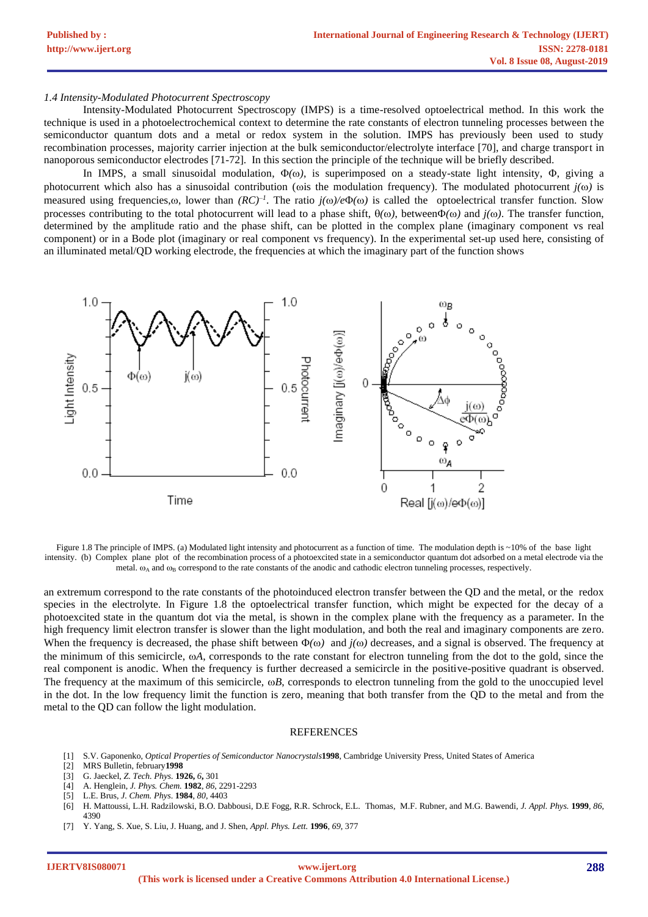#### *1.4 Intensity-Modulated Photocurrent Spectroscopy*

Intensity-Modulated Photocurrent Spectroscopy (IMPS) is a time-resolved optoelectrical method. In this work the technique is used in a photoelectrochemical context to determine the rate constants of electron tunneling processes between the semiconductor quantum dots and a metal or redox system in the solution. IMPS has previously been used to study recombination processes, majority carrier injection at the bulk semiconductor/electrolyte interface [70], and charge transport in nanoporous semiconductor electrodes [71-72]. In this section the principle of the technique will be briefly described.

In IMPS, a small sinusoidal modulation,  $\Phi(\omega)$ , is superimposed on a steady-state light intensity,  $\Phi$ , giving a photocurrent which also has a sinusoidal contribution ( $\omega$ ) is the modulation frequency). The modulated photocurrent  $j(\omega)$  is measured using frequencies, $\omega$ , lower than  $(RC)^{-1}$ . The ratio  $j(\omega)/e\Phi(\omega)$  is called the optoelectrical transfer function. Slow processes contributing to the total photocurrent will lead to a phase shift,  $\theta(\omega)$ , between $\Phi(\omega)$  and  $j(\omega)$ . The transfer function, determined by the amplitude ratio and the phase shift, can be plotted in the complex plane (imaginary component vs real component) or in a Bode plot (imaginary or real component vs frequency). In the experimental set-up used here, consisting of an illuminated metal/QD working electrode, the frequencies at which the imaginary part of the function shows



Figure 1.8 The principle of IMPS. (a) Modulated light intensity and photocurrent as a function of time. The modulation depth is ~10% of the base light intensity. (b) Complex plane plot of the recombination process of a photoexcited state in a semiconductor quantum dot adsorbed on a metal electrode via the metal.  $\omega_A$  and  $\omega_B$  correspond to the rate constants of the anodic and cathodic electron tunneling processes, respectively.

an extremum correspond to the rate constants of the photoinduced electron transfer between the QD and the metal, or the redox species in the electrolyte. In Figure 1.8 the optoelectrical transfer function, which might be expected for the decay of a photoexcited state in the quantum dot via the metal, is shown in the complex plane with the frequency as a parameter. In the high frequency limit electron transfer is slower than the light modulation, and both the real and imaginary components are zero. When the frequency is decreased, the phase shift between  $\Phi(\omega)$  and  $j(\omega)$  decreases, and a signal is observed. The frequency at the minimum of this semicircle, *A*, corresponds to the rate constant for electron tunneling from the dot to the gold, since the real component is anodic. When the frequency is further decreased a semicircle in the positive-positive quadrant is observed. The frequency at the maximum of this semicircle,  $\omega B$ , corresponds to electron tunneling from the gold to the unoccupied level in the dot. In the low frequency limit the function is zero, meaning that both transfer from the QD to the metal and from the metal to the QD can follow the light modulation.

#### REFERENCES

- [1] S.V. Gaponenko, *Optical Properties of Semiconductor Nanocrystals***1998**, Cambridge University Press, United States of America
- [2] MRS Bulletin, february**1998**
- [3] G. Jaeckel, *Z. Tech. Phys.* **1926,** *6***,** 301
- [4] A. Henglein, *J. Phys. Chem.* **1982**, *86*, 2291-2293
- [5] L.E. Brus, *J. Chem. Phys*. **1984**, *80*, 4403
- [6] H. Mattoussi, L.H. Radzilowski, B.O. Dabbousi, D.E Fogg, R.R. Schrock, E.L. Thomas, M.F. Rubner, and M.G. Bawendi, *J. Appl. Phys.* **1999**, *86*, 4390
- [7] Y. Yang, S. Xue, S. Liu, J. Huang, and J. Shen, *Appl. Phys. Lett.* **1996**, *69*, 377